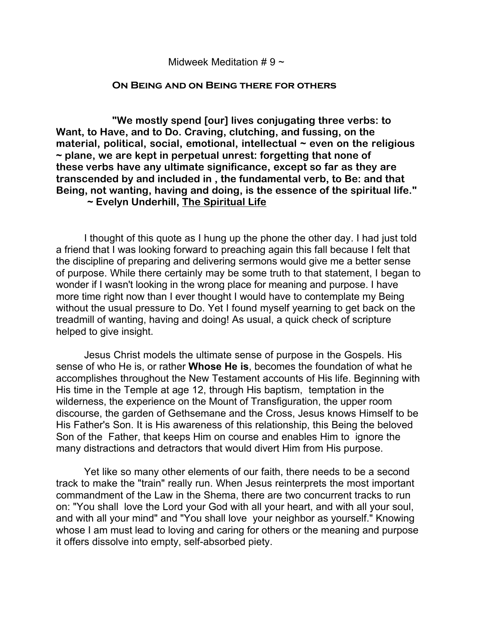## Midweek Meditation  $# 9 \sim$

## **On Being and on Being there for others**

**"We mostly spend [our] lives conjugating three verbs: to Want, to Have, and to Do. Craving, clutching, and fussing, on the material, political, social, emotional, intellectual ~ even on the religious ~ plane, we are kept in perpetual unrest: forgetting that none of these verbs have any ultimate significance, except so far as they are transcended by and included in , the fundamental verb, to Be: and that Being, not wanting, having and doing, is the essence of the spiritual life."** 

## **~ Evelyn Underhill, The Spiritual Life**

I thought of this quote as I hung up the phone the other day. I had just told a friend that I was looking forward to preaching again this fall because I felt that the discipline of preparing and delivering sermons would give me a better sense of purpose. While there certainly may be some truth to that statement, I began to wonder if I wasn't looking in the wrong place for meaning and purpose. I have more time right now than I ever thought I would have to contemplate my Being without the usual pressure to Do. Yet I found myself yearning to get back on the treadmill of wanting, having and doing! As usual, a quick check of scripture helped to give insight.

Jesus Christ models the ultimate sense of purpose in the Gospels. His sense of who He is, or rather **Whose He is**, becomes the foundation of what he accomplishes throughout the New Testament accounts of His life. Beginning with His time in the Temple at age 12, through His baptism, temptation in the wilderness, the experience on the Mount of Transfiguration, the upper room discourse, the garden of Gethsemane and the Cross, Jesus knows Himself to be His Father's Son. It is His awareness of this relationship, this Being the beloved Son of the Father, that keeps Him on course and enables Him to ignore the many distractions and detractors that would divert Him from His purpose.

Yet like so many other elements of our faith, there needs to be a second track to make the "train" really run. When Jesus reinterprets the most important commandment of the Law in the Shema, there are two concurrent tracks to run on: "You shall love the Lord your God with all your heart, and with all your soul, and with all your mind" and "You shall love your neighbor as yourself." Knowing whose I am must lead to loving and caring for others or the meaning and purpose it offers dissolve into empty, self-absorbed piety.